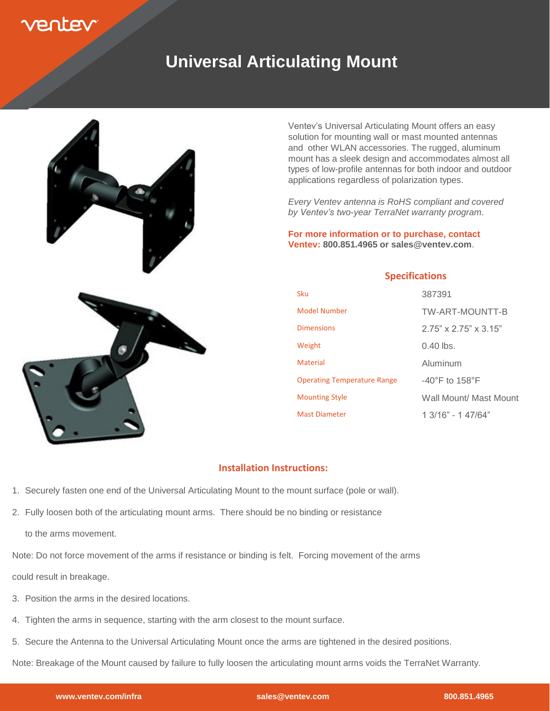

## **Universal Articulating Mount**



Ventev's Universal Articulating Mount offers an easy solution for mounting wall or mast mounted antennas and other WLAN accessories. The rugged, aluminum mount has a sleek design and accommodates almost all types of low-profile antennas for both indoor and outdoor applications regardless of polarization types.

*Every Ventev antenna is RoHS compliant and covered by Ventev's two-year TerraNet warranty program*.

**For more information or to purchase, contact Ventev: 800.851.4965 or sales@ventev.com**.

## **Specifications**

| Sku                                | 387391                              |
|------------------------------------|-------------------------------------|
| Model Number                       | TW-ART-MOUNTT-B                     |
| <b>Dimensions</b>                  | $2.75" \times 2.75" \times 3.15"$   |
| Weight                             | $0.40$ lbs.                         |
| <b>Material</b>                    | Aluminum                            |
| <b>Operating Temperature Range</b> | $-40^{\circ}$ F to 158 $^{\circ}$ F |
| <b>Mounting Style</b>              | Wall Mount/ Mast Mount              |
| <b>Mast Diameter</b>               | 1 3/16" - 1 47/64"                  |

## **Installation Instructions:**

- 1. Securely fasten one end of the Universal Articulating Mount to the mount surface (pole or wall).
- 2. Fully loosen both of the articulating mount arms. There should be no binding or resistance

to the arms movement.

Note: Do not force movement of the arms if resistance or binding is felt. Forcing movement of the arms

could result in breakage.

- 3. Position the arms in the desired locations.
- 4. Tighten the arms in sequence, starting with the arm closest to the mount surface.
- 5. Secure the Antenna to the Universal Articulating Mount once the arms are tightened in the desired positions.

Note: Breakage of the Mount caused by failure to fully loosen the articulating mount arms voids the TerraNet Warranty.